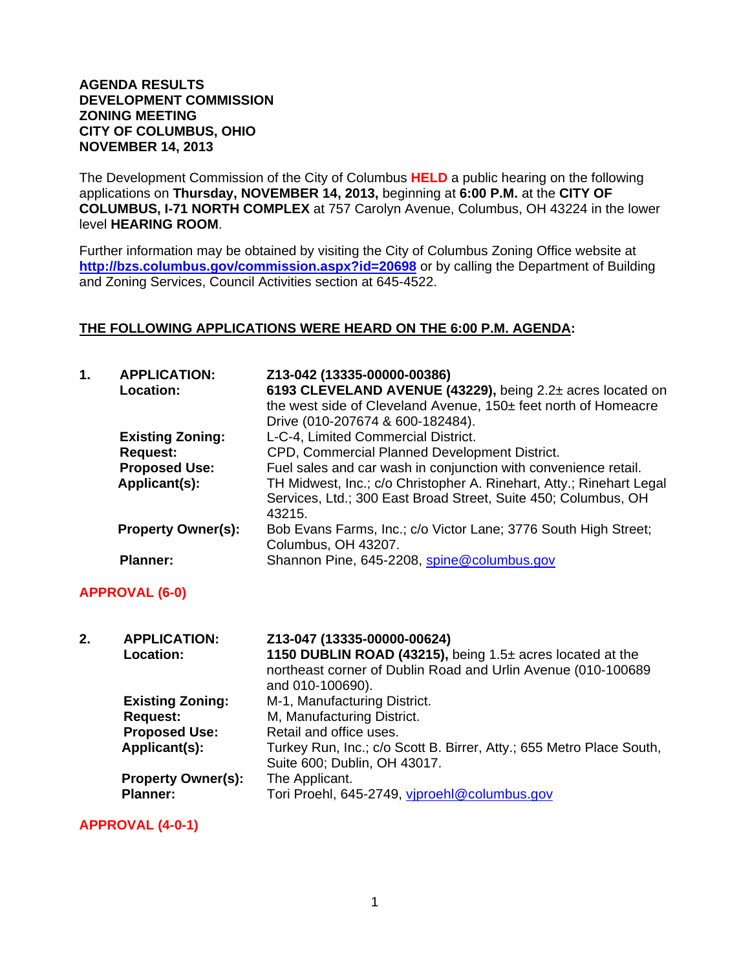#### **AGENDA RESULTS DEVELOPMENT COMMISSION ZONING MEETING CITY OF COLUMBUS, OHIO NOVEMBER 14, 2013**

The Development Commission of the City of Columbus **HELD** a public hearing on the following applications on **Thursday, NOVEMBER 14, 2013,** beginning at **6:00 P.M.** at the **CITY OF COLUMBUS, I-71 NORTH COMPLEX** at 757 Carolyn Avenue, Columbus, OH 43224 in the lower level **HEARING ROOM**.

Further information may be obtained by visiting the City of Columbus Zoning Office website at **http://bzs.columbus.gov/commission.aspx?id=20698** or by calling the Department of Building and Zoning Services, Council Activities section at 645-4522.

### **THE FOLLOWING APPLICATIONS WERE HEARD ON THE 6:00 P.M. AGENDA:**

| 1. | <b>APPLICATION:</b><br>Location: | Z13-042 (13335-00000-00386)<br>6193 CLEVELAND AVENUE (43229), being 2.2± acres located on<br>the west side of Cleveland Avenue, 150± feet north of Homeacre<br>Drive (010-207674 & 600-182484). |
|----|----------------------------------|-------------------------------------------------------------------------------------------------------------------------------------------------------------------------------------------------|
|    | <b>Existing Zoning:</b>          | L-C-4, Limited Commercial District.                                                                                                                                                             |
|    | <b>Request:</b>                  | CPD, Commercial Planned Development District.                                                                                                                                                   |
|    | <b>Proposed Use:</b>             | Fuel sales and car wash in conjunction with convenience retail.                                                                                                                                 |
|    | Applicant(s):                    | TH Midwest, Inc.; c/o Christopher A. Rinehart, Atty.; Rinehart Legal<br>Services, Ltd.; 300 East Broad Street, Suite 450; Columbus, OH<br>43215.                                                |
|    | <b>Property Owner(s):</b>        | Bob Evans Farms, Inc.; c/o Victor Lane; 3776 South High Street;<br>Columbus, OH 43207.                                                                                                          |
|    | <b>Planner:</b>                  | Shannon Pine, 645-2208, spine@columbus.gov                                                                                                                                                      |

### **APPROVAL (6-0)**

| 2. | <b>APPLICATION:</b><br><b>Location:</b>      | Z13-047 (13335-00000-00624)<br>1150 DUBLIN ROAD (43215), being 1.5± acres located at the<br>northeast corner of Dublin Road and Urlin Avenue (010-100689<br>and 010-100690). |
|----|----------------------------------------------|------------------------------------------------------------------------------------------------------------------------------------------------------------------------------|
|    | <b>Existing Zoning:</b>                      | M-1, Manufacturing District.                                                                                                                                                 |
|    | <b>Request:</b>                              | M, Manufacturing District.                                                                                                                                                   |
|    | <b>Proposed Use:</b>                         | Retail and office uses.                                                                                                                                                      |
|    | Applicant(s):                                | Turkey Run, Inc.; c/o Scott B. Birrer, Atty.; 655 Metro Place South,<br>Suite 600; Dublin, OH 43017.                                                                         |
|    | <b>Property Owner(s):</b><br><b>Planner:</b> | The Applicant.<br>Tori Proehl, 645-2749, viproehl@columbus.gov                                                                                                               |

**APPROVAL (4-0-1)**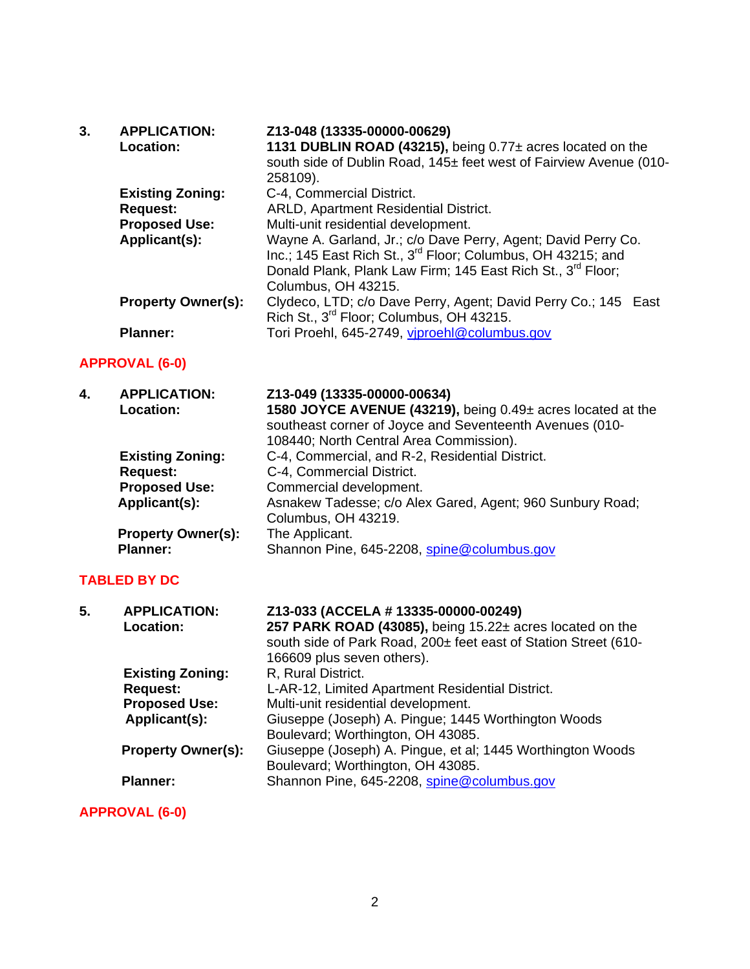| 3. | <b>APPLICATION:</b>       | Z13-048 (13335-00000-00629)                                             |
|----|---------------------------|-------------------------------------------------------------------------|
|    | Location:                 | 1131 DUBLIN ROAD (43215), being 0.77± acres located on the              |
|    |                           | south side of Dublin Road, 145± feet west of Fairview Avenue (010-      |
|    |                           | 258109).                                                                |
|    | <b>Existing Zoning:</b>   | C-4, Commercial District.                                               |
|    | <b>Request:</b>           | ARLD, Apartment Residential District.                                   |
|    | <b>Proposed Use:</b>      | Multi-unit residential development.                                     |
|    | Applicant(s):             | Wayne A. Garland, Jr.; c/o Dave Perry, Agent; David Perry Co.           |
|    |                           | Inc.; 145 East Rich St., 3 <sup>rd</sup> Floor; Columbus, OH 43215; and |
|    |                           | Donald Plank, Plank Law Firm; 145 East Rich St., 3rd Floor;             |
|    |                           | Columbus, OH 43215.                                                     |
|    | <b>Property Owner(s):</b> | Clydeco, LTD; c/o Dave Perry, Agent; David Perry Co.; 145 East          |
|    |                           | Rich St., 3 <sup>rd</sup> Floor; Columbus, OH 43215.                    |
|    | <b>Planner:</b>           | Tori Proehl, 645-2749, viproehl@columbus.gov                            |

# **APPROVAL (6-0)**

| 4. | <b>APPLICATION:</b>       | Z13-049 (13335-00000-00634)                                 |
|----|---------------------------|-------------------------------------------------------------|
|    | Location:                 | 1580 JOYCE AVENUE (43219), being 0.49± acres located at the |
|    |                           | southeast corner of Joyce and Seventeenth Avenues (010-     |
|    |                           | 108440; North Central Area Commission).                     |
|    | <b>Existing Zoning:</b>   | C-4, Commercial, and R-2, Residential District.             |
|    | <b>Request:</b>           | C-4, Commercial District.                                   |
|    | <b>Proposed Use:</b>      | Commercial development.                                     |
|    | Applicant(s):             | Asnakew Tadesse; c/o Alex Gared, Agent; 960 Sunbury Road;   |
|    |                           | Columbus, OH 43219.                                         |
|    | <b>Property Owner(s):</b> | The Applicant.                                              |
|    | <b>Planner:</b>           | Shannon Pine, 645-2208, spine@columbus.gov                  |

## **TABLED BY DC**

| 5. | <b>APPLICATION:</b><br>Location: | Z13-033 (ACCELA # 13335-00000-00249)<br>257 PARK ROAD (43085), being 15.22± acres located on the<br>south side of Park Road, 200± feet east of Station Street (610-<br>166609 plus seven others). |
|----|----------------------------------|---------------------------------------------------------------------------------------------------------------------------------------------------------------------------------------------------|
|    | <b>Existing Zoning:</b>          | R, Rural District.                                                                                                                                                                                |
|    | <b>Request:</b>                  | L-AR-12, Limited Apartment Residential District.                                                                                                                                                  |
|    | <b>Proposed Use:</b>             | Multi-unit residential development.                                                                                                                                                               |
|    | Applicant(s):                    | Giuseppe (Joseph) A. Pingue; 1445 Worthington Woods                                                                                                                                               |
|    |                                  | Boulevard; Worthington, OH 43085.                                                                                                                                                                 |
|    | <b>Property Owner(s):</b>        | Giuseppe (Joseph) A. Pingue, et al; 1445 Worthington Woods                                                                                                                                        |
|    |                                  | Boulevard; Worthington, OH 43085.                                                                                                                                                                 |
|    | <b>Planner:</b>                  | Shannon Pine, 645-2208, spine@columbus.gov                                                                                                                                                        |

**APPROVAL (6-0)**